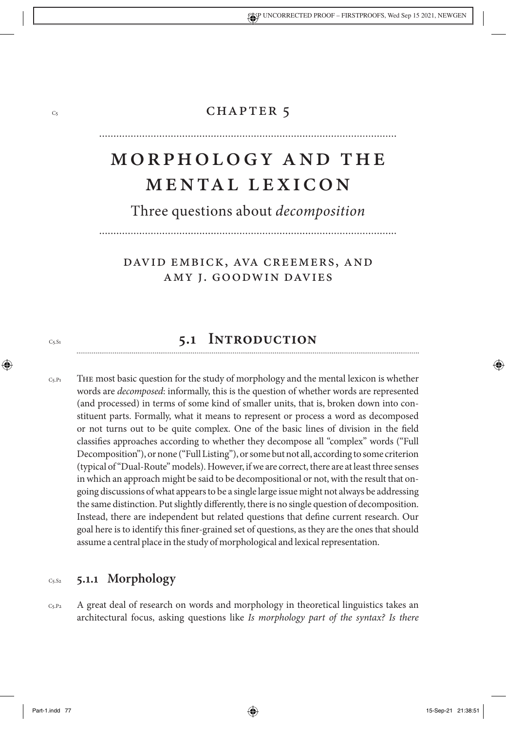## CHAPTER 5

# Morpholo gy and The Mental Lexicon

Three questions about *decomposition*

## David Embick, Ava Creemers, and Amy J. Goodwin Davies

## **5.1 Introduction**

The most basic question for the study of morphology and the mental lexicon is whether words are *decomposed*: informally, this is the question of whether words are represented (and processed) in terms of some kind of smaller units, that is, broken down into constituent parts. Formally, what it means to represent or process a word as decomposed or not turns out to be quite complex. One of the basic lines of division in the field classifies approaches according to whether they decompose all "complex" words ("Full Decomposition"), or none ("Full Listing"), or some but not all, according to some criterion (typical of "Dual-Route" models). However, if we are correct, there are at least three senses in which an approach might be said to be decompositional or not, with the result that ongoing discussions of what appears to be a single large issue might not always be addressing the same distinction. Put slightly differently, there is no single question of decomposition. Instead, there are independent but related questions that define current research. Our goal here is to identify this finer-grained set of questions, as they are the ones that should assume a central place in the study of morphological and lexical representation.  $C_5.P_1$ 

#### **5.1.1 Morphology**  $Cs.S2$

A great deal of research on words and morphology in theoretical linguistics takes an architectural focus, asking questions like *Is morphology part of the syntax? Is there*   $C<sub>5</sub> P<sub>2</sub>$ 

C5

 $Cs.S1$ 

↔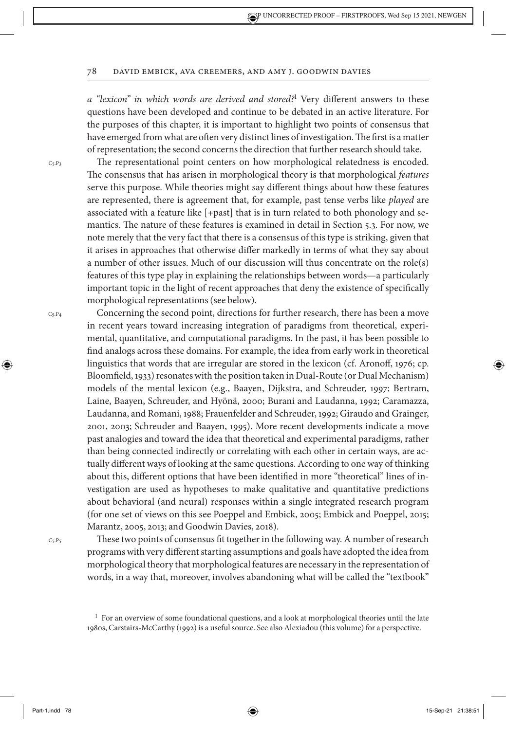*a "lexicon" in which words are derived and stored?*<sup>1</sup> Very different answers to these questions have been developed and continue to be debated in an active literature. For the purposes of this chapter, it is important to highlight two points of consensus that have emerged from what are often very distinct lines of investigation. The first is a matter of representation; the second concerns the direction that further research should take.

The representational point centers on how morphological relatedness is encoded. The consensus that has arisen in morphological theory is that morphological *features* serve this purpose. While theories might say different things about how these features are represented, there is agreement that, for example, past tense verbs like *played* are associated with a feature like [+past] that is in turn related to both phonology and semantics. The nature of these features is examined in detail in Section 5.3. For now, we note merely that the very fact that there is a consensus of this type is striking, given that it arises in approaches that otherwise differ markedly in terms of what they say about a number of other issues. Much of our discussion will thus concentrate on the role(s) features of this type play in explaining the relationships between words—a particularly important topic in the light of recent approaches that deny the existence of specifically morphological representations (see below).

Concerning the second point, directions for further research, there has been a move in recent years toward increasing integration of paradigms from theoretical, experi-

 $Cs.P4$ 

⊕

 $Cs.P3$ 

mental, quantitative, and computational paradigms. In the past, it has been possible to find analogs across these domains. For example, the idea from early work in theoretical linguistics that words that are irregular are stored in the lexicon (cf. Aronoff, 1976; cp. Bloomfield, 1933) resonates with the position taken in Dual-Route (or Dual Mechanism) models of the mental lexicon (e.g., Baayen, Dijkstra, and Schreuder, 1997; Bertram, Laine, Baayen, Schreuder, and Hyönä, 2000; Burani and Laudanna, 1992; Caramazza, Laudanna, and Romani, 1988; Frauenfelder and Schreuder, 1992; Giraudo and Grainger, 2001, 2003; Schreuder and Baayen, 1995). More recent developments indicate a move past analogies and toward the idea that theoretical and experimental paradigms, rather than being connected indirectly or correlating with each other in certain ways, are actually different ways of looking at the same questions. According to one way of thinking about this, different options that have been identified in more "theoretical" lines of investigation are used as hypotheses to make qualitative and quantitative predictions about behavioral (and neural) responses within a single integrated research program (for one set of views on this see Poeppel and Embick, 2005; Embick and Poeppel, 2015; Marantz, 2005, 2013; and Goodwin Davies, 2018).

 $C<sub>5</sub>.P<sub>5</sub>$ 

These two points of consensus fit together in the following way. A number of research programs with very different starting assumptions and goals have adopted the idea from morphological theory that morphological features are necessary in the representation of words, in a way that, moreover, involves abandoning what will be called the "textbook"

Part-1.indd 78 15-Sep-21 21:38:51

 $<sup>1</sup>$  For an overview of some foundational questions, and a look at morphological theories until the late</sup> 1980s, Carstairs-McCarthy (1992) is a useful source. See also Alexiadou (this volume) for a perspective.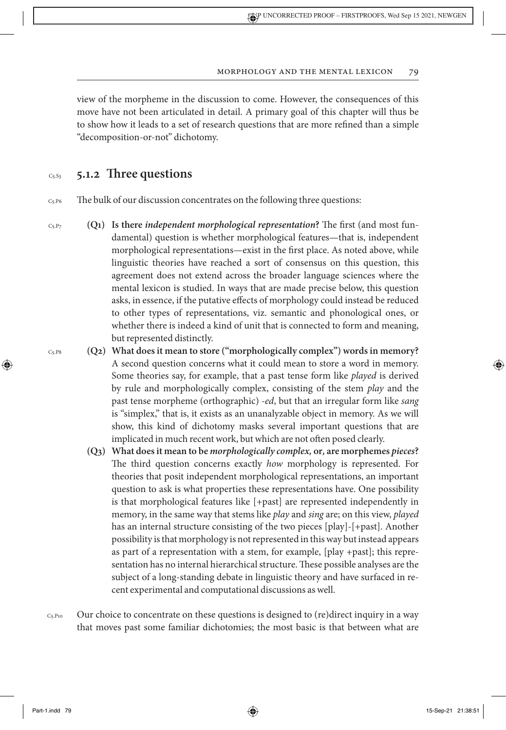view of the morpheme in the discussion to come. However, the consequences of this move have not been articulated in detail. A primary goal of this chapter will thus be to show how it leads to a set of research questions that are more refined than a simple "decomposition-or-not" dichotomy.

#### **5.1.2 Three questions**  $Cs.S3$

The bulk of our discussion concentrates on the following three questions:  $C_5$ . P6

- **(Q1) Is there** *independent morphological representation***?** The first (and most fundamental) question is whether morphological features—that is, independent morphological representations—exist in the first place. As noted above, while linguistic theories have reached a sort of consensus on this question, this agreement does not extend across the broader language sciences where the mental lexicon is studied. In ways that are made precise below, this question asks, in essence, if the putative effects of morphology could instead be reduced to other types of representations, viz. semantic and phonological ones, or whether there is indeed a kind of unit that is connected to form and meaning, but represented distinctly.  $C<sub>5</sub>$ . $P<sub>7</sub>$ 
	- **(Q2) What does it mean to store ("morphologically complex") words in memory?** A second question concerns what it could mean to store a word in memory. Some theories say, for example, that a past tense form like *played* is derived by rule and morphologically complex, consisting of the stem *play* and the past tense morpheme (orthographic) *-ed*, but that an irregular form like *sang* is "simplex," that is, it exists as an unanalyzable object in memory. As we will show, this kind of dichotomy masks several important questions that are implicated in much recent work, but which are not often posed clearly.
		- **(Q3) What does it mean to be** *morphologically complex,* **or***,* **are morphemes** *pieces***?** The third question concerns exactly *how* morphology is represented. For theories that posit independent morphological representations, an important question to ask is what properties these representations have. One possibility is that morphological features like [+past] are represented independently in memory, in the same way that stems like *play* and *sing* are; on this view, *played* has an internal structure consisting of the two pieces [play]-[+past]. Another possibility is that morphology is not represented in this way but instead appears as part of a representation with a stem, for example, [play +past]; this representation has no internal hierarchical structure. These possible analyses are the subject of a long-standing debate in linguistic theory and have surfaced in recent experimental and computational discussions aswell.
- Our choice to concentrate on these questions is designed to (re)direct inquiry in a way that moves past some familiar dichotomies; the most basic is that between what are  $C_5.P_{10}$

⊕

 $C_5$ . Ps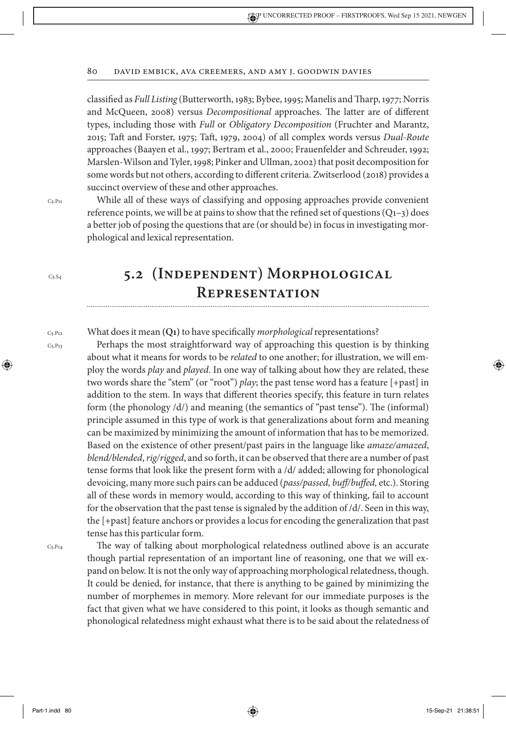classified as *Full Listing* (Butterworth, 1983; Bybee, 1995; Manelis and Tharp, 1977; Norris and McQueen, 2008) versus *Decompositional* approaches. The latter are of different types, including those with *Full* or *Obligatory Decomposition* (Fruchter and Marantz, 2015; Taft and Forster, 1975; Taft, 1979, 2004) of all complex words versus *Dual-Route* approaches (Baayen et al., 1997; Bertram et al., 2000; Frauenfelder and Schreuder, 1992; Marslen-Wilson and Tyler, 1998; Pinker and Ullman, 2002) that posit decomposition for some words but not others, according to different criteria. Zwitserlood (2018) provides a succinct overview of these and other approaches.

 $Ce$ . P<sub>11</sub>

 $Cs.S.$ 

C5.P13

⊕

While all of these ways of classifying and opposing approaches provide convenient reference points, we will be at pains to show that the refined set of questions  $(Q_{1-3})$  does a better job of posing the questions that are (or should be) in focus in investigating morphological and lexical representation.

## **5.2 (Independent) Morphological Representation**

What does it mean **(Q1)** to have specifically *morphological* representations? C5.P12

> Perhaps the most straightforward way of approaching this question is by thinking about what it means for words to be *related* to one another; for illustration, we will employ the words *play* and *played*. In one way of talking about how they are related, these two words share the "stem" (or "root") *play*; the past tense word has a feature [+past] in addition to the stem. In ways that different theories specify, this feature in turn relates form (the phonology /d/) and meaning (the semantics of "past tense"). The (informal) principle assumed in this type of work is that generalizations about form and meaning can be maximized by minimizing the amount of information that has to be memorized. Based on the existence of other present/past pairs in the language like *amaze/amazed*, *blend/blended*, *rig/rigged*, and so forth, it can be observed that there are a number of past tense forms that look like the present form with a /d/ added; allowing for phonological devoicing, many more such pairs can be adduced (*pass/passed, buff/buffed,* etc.). Storing all of these words in memory would, according to this way of thinking, fail to account for the observation that the past tense is signaled by the addition of /d/. Seen in this way, the [+past] feature anchors or provides a locus for encoding the generalization that past tense has this particular form.

C5.P14

The way of talking about morphological relatedness outlined above is an accurate though partial representation of an important line of reasoning, one that we will expand on below. It is not the only way of approaching morphological relatedness, though. It could be denied, for instance, that there is anything to be gained by minimizing the number of morphemes in memory. More relevant for our immediate purposes is the fact that given what we have considered to this point, it looks as though semantic and phonological relatedness might exhaust what there is to be said about the relatedness of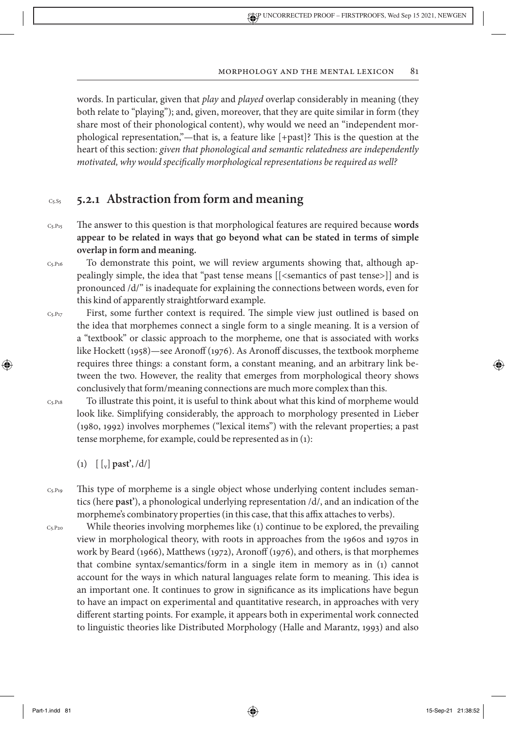words. In particular, given that *play* and *played* overlap considerably in meaning (they both relate to "playing"); and, given, moreover, that they are quite similar in form (they share most of their phonological content), why would we need an "independent morphological representation,"—that is, a feature like [+past]? This is the question at the heart of this section: *given that phonological and semantic relatedness are independently motivated, why would specifically morphological representations be required as well?*

#### **5.2.1 Abstraction from form and meaning**  $Cs.S5$

- The answer to this question is that morphological features are required because **words appear to be related in ways that go beyond what can be stated in terms of simple overlap in form and meaning.**  $C_5.P_{15}$
- To demonstrate this point, we will review arguments showing that, although appealingly simple, the idea that "past tense means [[<semantics of past tense>]] and is pronounced /d/" is inadequate for explaining the connections between words, even for this kind of apparently straightforward example.  $C<sub>5</sub>.P<sub>16</sub>$
- First, some further context is required. The simple view just outlined is based on the idea that morphemes connect a single form to a single meaning. It is a version of a "textbook" or classic approach to the morpheme, one that is associated with works like Hockett (1958)—see Aronoff (1976). As Aronoff discusses, the textbook morpheme requires three things: a constant form, a constant meaning, and an arbitrary link between the two. However, the reality that emerges from morphological theory shows conclusively that form/meaning connections are much more complex than this.  $C<sub>5</sub>.P<sub>17</sub>$
- To illustrate this point, it is useful to think about what this kind of morpheme would look like. Simplifying considerably, the approach to morphology presented in Lieber (1980, 1992) involves morphemes ("lexical items") with the relevant properties; a past tense morpheme, for example, could be represented as in (1): C5.P18
	- (1)  $[$   $[$   $\frac{1}{v}$  **past**<sup>2</sup>, /d/<sup>]</sup>
- This type of morpheme is a single object whose underlying content includes semantics (here **past'**), a phonological underlying representation /d/, and an indication of the morpheme's combinatory properties (in this case, that this affix attaches to verbs).  $C$ 5. $P$ 19
- While theories involving morphemes like (1) continue to be explored, the prevailing view in morphological theory, with roots in approaches from the 1960s and 1970s in work by Beard (1966), Matthews (1972), Aronoff (1976), and others, is that morphemes that combine syntax/semantics/form in a single item in memory as in (1) cannot account for the ways in which natural languages relate form to meaning. This idea is an important one. It continues to grow in significance as its implications have begun to have an impact on experimental and quantitative research, in approaches with very different starting points. For example, it appears both in experimental work connected to linguistic theories like Distributed Morphology (Halle and Marantz, 1993) and also C5.P20

⊕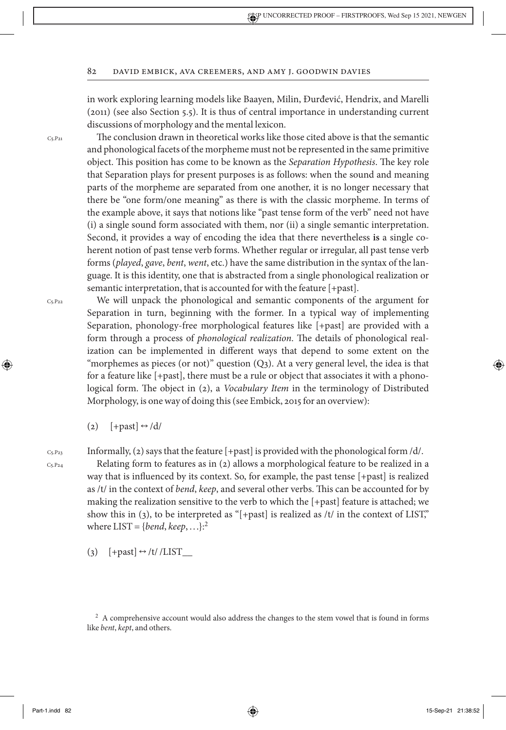in work exploring learning models like Baayen, Milin, Đurđević, Hendrix, and Marelli (2011) (see also Section 5.5). It is thus of central importance in understanding current discussions of morphology and the mental lexicon.

The conclusion drawn in theoretical works like those cited above is that the semantic and phonological facets of the morpheme must not be represented in the same primitive object. This position has come to be known as the *Separation Hypothesis*. The key role that Separation plays for present purposes is as follows: when the sound and meaning parts of the morpheme are separated from one another, it is no longer necessary that there be "one form/one meaning" as there is with the classic morpheme. In terms of the example above, it says that notions like "past tense form of the verb" need not have (i) a single sound form associated with them, nor (ii) a single semantic interpretation. Second, it provides a way of encoding the idea that there nevertheless **is** a single coherent notion of past tense verb forms. Whether regular or irregular, all past tense verb forms (*played*, *gave*, *bent*, *went*, etc.) have the same distribution in the syntax of the language. It is this identity, one that is abstracted from a single phonological realization or semantic interpretation, that is accounted for with the feature [+past].

C5.P22

⊕

C5.P21

We will unpack the phonological and semantic components of the argument for Separation in turn, beginning with the former. In a typical way of implementing Separation, phonology-free morphological features like [+past] are provided with a form through a process of *phonological realization*. The details of phonological realization can be implemented in different ways that depend to some extent on the "morphemes as pieces (or not)" question  $(Q_3)$ . At a very general level, the idea is that for a feature like [+past], there must be a rule or object that associates it with a phonological form. The object in (2), a *Vocabulary Item* in the terminology of Distributed Morphology, is one way of doing this (see Embick, 2015 for an overview):

(2)  $[+past] \leftrightarrow /d/$ 

C5.P23

 $C_{5.}P_{2.4}$ 

Informally, (2) says that the feature [+past] is provided with the phonological form /d/.

Relating form to features as in (2) allows a morphological feature to be realized in a way that is influenced by its context. So, for example, the past tense [+past] is realized as /t/ in the context of *bend*, *keep*, and several other verbs. This can be accounted for by making the realization sensitive to the verb to which the [+past] feature is attached; we show this in (3), to be interpreted as " $[+$ past] is realized as /t/ in the context of LIST," where  $LIST = {bend, keep, ...}$ :<sup>2</sup>

(3)  $[+past] \leftrightarrow /t// LIST$ 

<sup>&</sup>lt;sup>2</sup> A comprehensive account would also address the changes to the stem vowel that is found in forms like *bent*, *kept*, and others.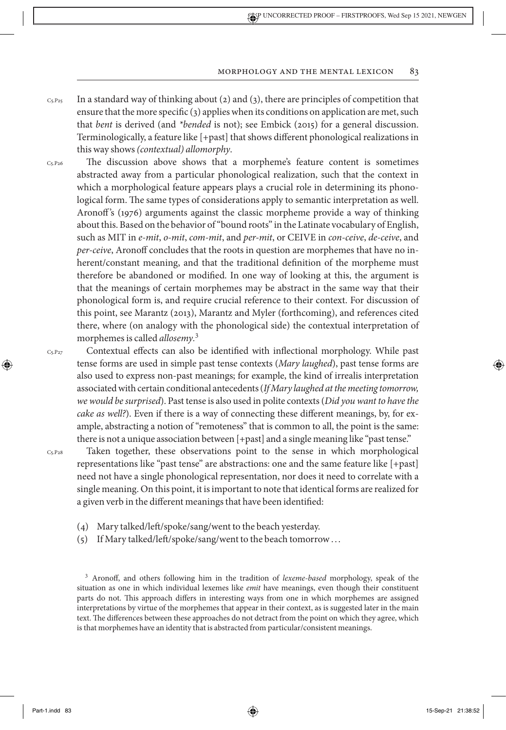- In a standard way of thinking about (2) and (3), there are principles of competition that ensure that the more specific (3) applies when its conditions on application are met, such that *bent* is derived (and *\*bended* is not); see Embick (2015) for a general discussion. Terminologically, a feature like [+past] that shows different phonological realizations in this way shows *(contextual) allomorphy*.  $C_5.P_{25}$
- The discussion above shows that a morpheme's feature content is sometimes abstracted away from a particular phonological realization, such that the context in which a morphological feature appears plays a crucial role in determining its phonological form. The same types of considerations apply to semantic interpretation as well. Aronoff 's (1976) arguments against the classic morpheme provide a way of thinking about this. Based on the behavior of "bound roots" in the Latinate vocabulary of English, such as MIT in *e-mit*, *o-mit*, *com-mit*, and *per-mit*, or CEIVE in *con-ceive*, *de-ceive*, and *per-ceive*, Aronoff concludes that the roots in question are morphemes that have no inherent/constant meaning, and that the traditional definition of the morpheme must therefore be abandoned or modified. In one way of looking at this, the argument is that the meanings of certain morphemes may be abstract in the same way that their phonological form is, and require crucial reference to their context. For discussion of this point, see Marantz (2013), Marantz and Myler (forthcoming), and references cited there, where (on analogy with the phonological side) the contextual interpretation of morphemes is called *allosemy.* 3  $C<sub>5</sub>$ . $P<sub>26</sub>$

 $C_{5.}P_{27}$ 

⊕

Contextual effects can also be identified with inflectional morphology. While past tense forms are used in simple past tense contexts (*Mary laughed*), past tense forms are also used to express non-past meanings; for example, the kind of irrealis interpretation associated with certain conditional antecedents (*If Mary laughed at the meeting tomorrow, we would be surprised*). Past tense is also used in polite contexts (*Did you want to have the cake as well?*). Even if there is a way of connecting these different meanings, by, for example, abstracting a notion of "remoteness" that is common to all, the point is the same: there is not a unique association between [+past] and a single meaning like "past tense."

C5.P28

Taken together, these observations point to the sense in which morphological representations like "past tense" are abstractions: one and the same feature like [+past] need not have a single phonological representation, nor does it need to correlate with a single meaning. On this point, it is important to note that identical forms are realized for a given verb in the different meanings that have been identified:

- (4) Mary talked/left/spoke/sang/went to the beach yesterday.
- (5) If Mary talked/left/spoke/sang/went to the beach tomorrow . . .

<sup>3</sup> Aronoff, and others following him in the tradition of *lexeme-based* morphology, speak of the situation as one in which individual lexemes like *emit* have meanings, even though their constituent parts do not. This approach differs in interesting ways from one in which morphemes are assigned interpretations by virtue of the morphemes that appear in their context, as is suggested later in the main text. The differences between these approaches do not detract from the point on which they agree, which is that morphemes have an identity that is abstracted from particular/consistent meanings.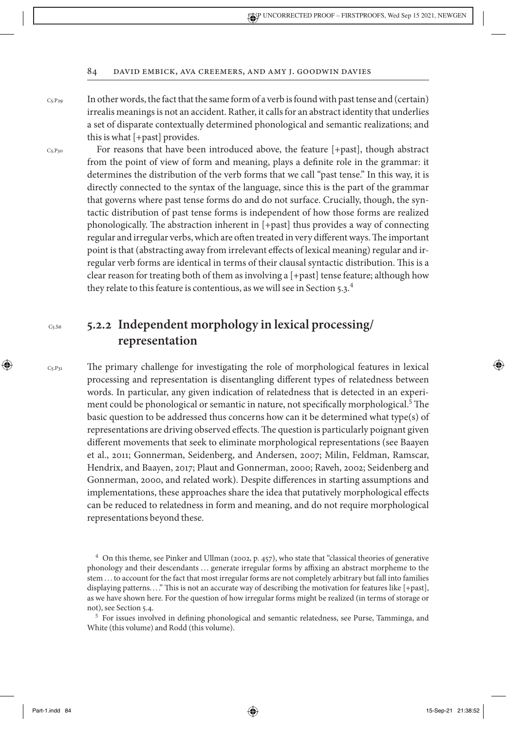$C<sub>5</sub>.P<sub>29</sub>$ 

In other words, the fact that the same form of a verb is found with past tense and (certain) irrealis meanings is not an accident. Rather, it calls for an abstract identity that underlies a set of disparate contextually determined phonological and semantic realizations; and this is what [+past] provides.

C5.P30

For reasons that have been introduced above, the feature [+past], though abstract from the point of view of form and meaning, plays a definite role in the grammar: it determines the distribution of the verb forms that we call "past tense." In this way, it is directly connected to the syntax of the language, since this is the part of the grammar that governs where past tense forms do and do not surface. Crucially, though, the syntactic distribution of past tense forms is independent of how those forms are realized phonologically. The abstraction inherent in [+past] thus provides a way of connecting regular and irregular verbs, which are often treated in very different ways. The important point is that (abstracting away from irrelevant effects of lexical meaning) regular and irregular verb forms are identical in terms of their clausal syntactic distribution. This is a clear reason for treating both of them as involving a [+past] tense feature; although how they relate to this feature is contentious, as we will see in Section 5.3.<sup>4</sup>

## **5.2.2 Independent morphology in lexical processing/ representation**

C5.P31

⊕

C5.S6

The primary challenge for investigating the role of morphological features in lexical processing and representation is disentangling different types of relatedness between words. In particular, any given indication of relatedness that is detected in an experiment could be phonological or semantic in nature, not specifically morphological.<sup>5</sup> The basic question to be addressed thus concerns how can it be determined what type(s) of representations are driving observed effects. The question is particularly poignant given different movements that seek to eliminate morphological representations (see Baayen et al., 2011; Gonnerman, Seidenberg, and Andersen, 2007; Milin, Feldman, Ramscar, Hendrix, and Baayen, 2017; Plaut and Gonnerman, 2000; Raveh, 2002; Seidenberg and Gonnerman, 2000, and related work). Despite differences in starting assumptions and implementations, these approaches share the idea that putatively morphological effects can be reduced to relatedness in form and meaning, and do not require morphological representations beyond these.

<sup>5</sup> For issues involved in defining phonological and semantic relatedness, see Purse, Tamminga, and White (this volume) and Rodd (this volume).

<sup>4</sup> On this theme, see Pinker and Ullman (2002, p. 457), who state that "classical theories of generative phonology and their descendants . . . generate irregular forms by affixing an abstract morpheme to the stem . . . to account for the fact that most irregular forms are not completely arbitrary but fall into families displaying patterns..." This is not an accurate way of describing the motivation for features like [+past], as we have shown here. For the question of how irregular forms might be realized (in terms of storage or not), see Section 5.4.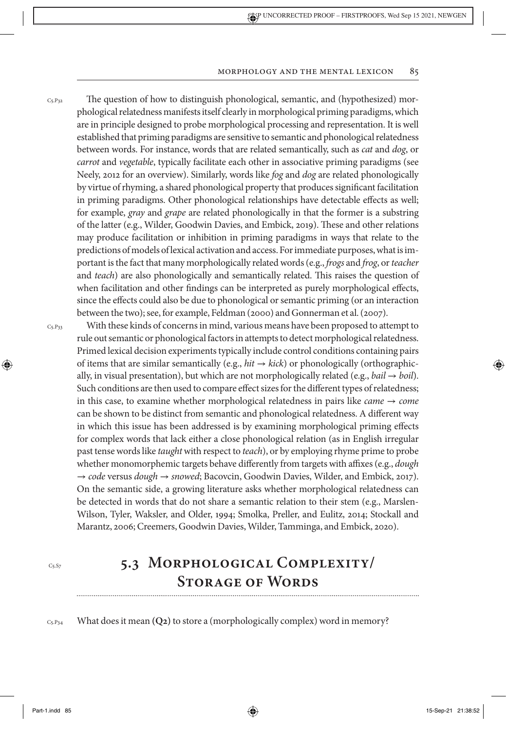The question of how to distinguish phonological, semantic, and (hypothesized) morphological relatedness manifests itself clearly in morphological priming paradigms, which are in principle designed to probe morphological processing and representation. It is well established that priming paradigms are sensitive to semantic and phonological relatedness between words. For instance, words that are related semantically, such as *cat* and *dog*, or *carrot* and *vegetable*, typically facilitate each other in associative priming paradigms (see Neely, 2012 for an overview). Similarly, words like *fog* and *dog* are related phonologically by virtue of rhyming, a shared phonological property that produces significant facilitation in priming paradigms. Other phonological relationships have detectable effects as well; for example, *gray* and *grape* are related phonologically in that the former is a substring of the latter (e.g., Wilder, Goodwin Davies, and Embick, 2019). These and other relations may produce facilitation or inhibition in priming paradigms in ways that relate to the predictions of models of lexical activation and access. For immediate purposes, what is important is the fact that many morphologically related words (e.g., *frogs* and *frog*, or *teacher* and *teach*) are also phonologically and semantically related. This raises the question of when facilitation and other findings can be interpreted as purely morphological effects, since the effects could also be due to phonological or semantic priming (or an interaction between the two); see, for example, Feldman (2000) and Gonnerman et al. (2007).  $C_5.P_32$ 

C5.P33

⊕

With these kinds of concerns in mind, various means have been proposed to attempt to rule out semantic or phonological factors in attempts to detect morphological relatedness. Primed lexical decision experiments typically include control conditions containing pairs of items that are similar semantically (e.g.,  $hit \rightarrow kick$ ) or phonologically (orthographically, in visual presentation), but which are not morphologically related (e.g., *bail*  $\rightarrow$  *boil*). Such conditions are then used to compare effect sizes for the different types of relatedness; in this case, to examine whether morphological relatedness in pairs like *came*  $\rightarrow$  *come* can be shown to be distinct from semantic and phonological relatedness. A different way in which this issue has been addressed is by examining morphological priming effects for complex words that lack either a close phonological relation (as in English irregular past tense words like *taught* with respect to *teach*), or by employing rhyme prime to probe whether monomorphemic targets behave differently from targets with affixes (e.g., *dough*  → *code* versus *dough* → *snowed*; Bacovcin, Goodwin Davies, Wilder, and Embick, 2017). On the semantic side, a growing literature asks whether morphological relatedness can be detected in words that do not share a semantic relation to their stem (e.g., Marslen-Wilson, Tyler, Waksler, and Older, 1994; Smolka, Preller, and Eulitz, 2014; Stockall and Marantz, 2006; Creemers, Goodwin Davies, Wilder, Tamminga, and Embick, 2020).

 $Cs.S7$ 

## **5.3 Morphological Complexity/ Storage of Words**

What does it mean **(Q2)** to store a (morphologically complex) word in memory? C5.P34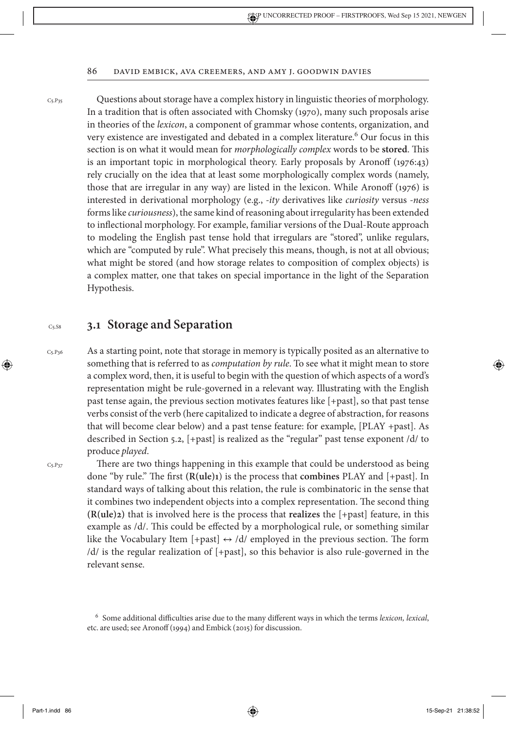$C<sub>5</sub>$ .P<sub>35</sub>

Questions about storage have a complex history in linguistic theories of morphology. In a tradition that is often associated with Chomsky (1970), many such proposals arise in theories of the *lexicon*, a component of grammar whose contents, organization, and very existence are investigated and debated in a complex literature.<sup>6</sup> Our focus in this section is on what it would mean for *morphologically complex* words to be **stored**. This is an important topic in morphological theory. Early proposals by Aronoff (1976:43) rely crucially on the idea that at least some morphologically complex words (namely, those that are irregular in any way) are listed in the lexicon. While Aronoff (1976) is interested in derivational morphology (e.g., *-ity* derivatives like *curiosity* versus *-ness* forms like *curiousness*), the same kind of reasoning about irregularity has been extended to inflectional morphology. For example, familiar versions of the Dual-Route approach to modeling the English past tense hold that irregulars are "stored", unlike regulars, which are "computed by rule". What precisely this means, though, is not at all obvious; what might be stored (and how storage relates to composition of complex objects) is a complex matter, one that takes on special importance in the light of the Separation Hypothesis.

#### **3.1 Storage and Separation**  $C5.$ S8

 $Cs.P36$ 

↔

As a starting point, note that storage in memory is typically posited as an alternative to something that is referred to as *computation by rule*. To see what it might mean to store a complex word, then, it is useful to begin with the question of which aspects of a word's representation might be rule-governed in a relevant way. Illustrating with the English past tense again, the previous section motivates features like [+past], so that past tense verbs consist of the verb (here capitalized to indicate a degree of abstraction, for reasons that will become clear below) and a past tense feature: for example, [PLAY +past]. As described in Section 5.2, [+past] is realized as the "regular" past tense exponent /d/ to produce *played*.

 $C5.P37$ 

There are two things happening in this example that could be understood as being done "by rule." The first **(R(ule)1**) is the process that **combines** PLAY and [+past]. In standard ways of talking about this relation, the rule is combinatoric in the sense that it combines two independent objects into a complex representation. The second thing **(R(ule)2)** that is involved here is the process that **realizes** the [+past] feature, in this example as /d/. This could be effected by a morphological rule, or something similar like the Vocabulary Item [+past]  $\leftrightarrow$  /d/ employed in the previous section. The form /d/ is the regular realization of [+past], so this behavior is also rule-governed in the relevant sense.

<sup>6</sup> Some additional difficulties arise due to the many different ways in which the terms *lexicon, lexical*, etc. are used; see Aronoff (1994) and Embick (2015) for discussion.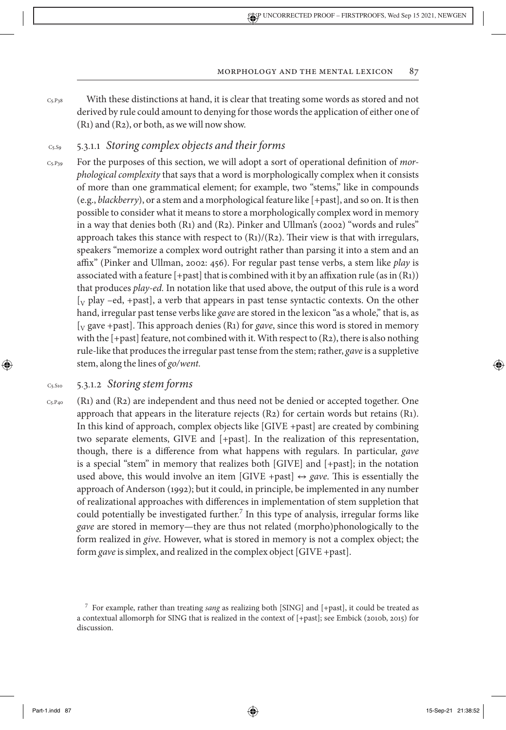With these distinctions at hand, it is clear that treating some words as stored and not derived by rule could amount to denying for those words the application of either one of (R1) and (R2), or both, as we will nowshow. C5.P38

#### 5.3.1.1 Storing complex objects and their forms C<sub>5</sub>.So

For the purposes of this section, we will adopt a sort of operational definition of *morphological complexity* that says that a word is morphologically complex when it consists of more than one grammatical element; for example, two "stems," like in compounds (e.g., *blackberry*), or a stem and a morphological feature like [+past], and so on. It is then possible to consider what it means to store a morphologically complex word in memory in a way that denies both (R1) and (R2). Pinker and Ullman's (2002) "words and rules" approach takes this stance with respect to  $(R_1)/(R_2)$ . Their view is that with irregulars, speakers "memorize a complex word outright rather than parsing it into a stem and an affix" (Pinker and Ullman, 2002: 456). For regular past tense verbs, a stem like *play* is associated with a feature  $[+$ past] that is combined with it by an affixation rule (as in  $(R_1)$ ) that produces *play-ed.* In notation like that used above, the output of this rule is a word  $[y$  play –ed, +past], a verb that appears in past tense syntactic contexts. On the other hand, irregular past tense verbs like *gave* are stored in the lexicon "as a whole," that is, as [V gave +past]. This approach denies (R1) for *gave*, since this word is stored in memory with the [+past] feature, not combined with it. With respect to (R2), there is also nothing rule-like that produces the irregular past tense from the stem; rather, *gave* is a suppletive stem, along the lines of *go/went.*  $Cs.P39$ 

#### 5.3.1.2 *Storing stem forms* C5.S10

C5.P40

⊕

(R1) and (R2) are independent and thus need not be denied or accepted together. One approach that appears in the literature rejects (R2) for certain words but retains (R1). In this kind of approach, complex objects like [GIVE +past] are created by combining two separate elements, GIVE and [+past]. In the realization of this representation, though, there is a difference from what happens with regulars. In particular, *gave* is a special "stem" in memory that realizes both [GIVE] and [+past]; in the notation used above, this would involve an item  $[GIVE + past] \leftrightarrow gave$ . This is essentially the approach of Anderson (1992); but it could, in principle, be implemented in any number of realizational approaches with differences in implementation of stem suppletion that could potentially be investigated further.<sup>7</sup> In this type of analysis, irregular forms like *gave* are stored in memory—they are thus not related (morpho)phonologically to the form realized in *give*. However, what is stored in memory is not a complex object; the form *gave* is simplex, and realized in the complex object [GIVE +past].

Part-1.indd 87 15-Sep-21 21:38:52

<sup>7</sup> For example, rather than treating *sang* as realizing both [SING] and [+past], it could be treated as a contextual allomorph for SING that is realized in the context of [+past]; see Embick (2010b, 2015) for discussion.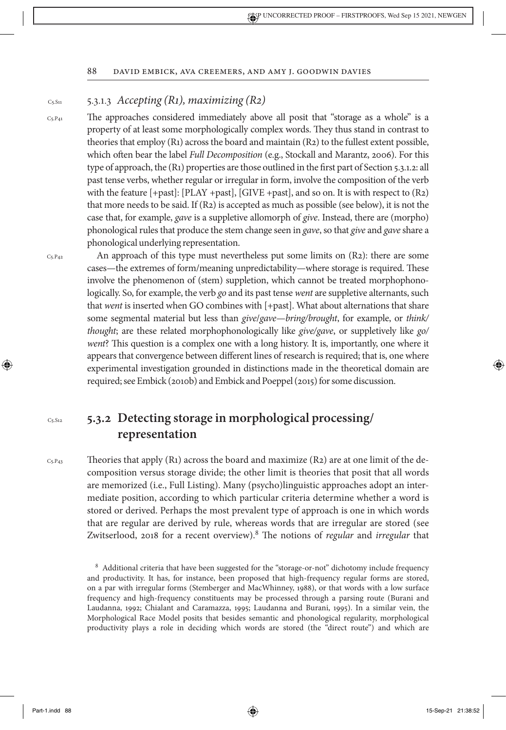#### 5.3.1.3 *Accepting (R1), maximizing (R2)* C5.S11

 $C5.P41$ 

The approaches considered immediately above all posit that "storage as a whole" is a property of at least some morphologically complex words. They thus stand in contrast to theories that employ (R1) across the board and maintain (R2) to the fullest extent possible, which often bear the label *Full Decomposition* (e.g., Stockall and Marantz, 2006). For this type of approach, the (R1) properties are those outlined in the first part of Section 5.3.1.2: all past tense verbs, whether regular or irregular in form, involve the composition of the verb with the feature [+past]: [PLAY +past], [GIVE +past], and so on. It is with respect to (R2) that more needs to be said. If (R2) is accepted as much as possible (see below), it is not the case that, for example, *gave* is a suppletive allomorph of *give*. Instead, there are (morpho) phonological rules that produce the stem change seen in *gave*, so that *give* and *gave* share a phonological underlying representation.

 $C5.P42$ 

C5.S12

⊕

C5.P43

An approach of this type must nevertheless put some limits on (R2): there are some cases—the extremes of form/meaning unpredictability—where storage is required. These involve the phenomenon of (stem) suppletion, which cannot be treated morphophonologically. So, for example, the verb *go* and its past tense *went* are suppletive alternants, such that *went* is inserted when GO combines with [+past]. What about alternations that share some segmental material but less than *give*/*gave*—*bring/brought*, for example, or *think/ thought*; are these related morphophonologically like *give/gave*, or suppletively like *go/ went*? This question is a complex one with a long history. It is, importantly, one where it appears that convergence between different lines of research is required; that is, one where experimental investigation grounded in distinctions made in the theoretical domain are required; see Embick (2010b) and Embick and Poeppel (2015) for some discussion.

## **5.3.2 Detecting storage in morphological processing/ representation**

Theories that apply (R1) across the board and maximize (R2) are at one limit of the decomposition versus storage divide; the other limit is theories that posit that all words are memorized (i.e., Full Listing). Many (psycho)linguistic approaches adopt an intermediate position, according to which particular criteria determine whether a word is stored or derived. Perhaps the most prevalent type of approach is one in which words that are regular are derived by rule, whereas words that are irregular are stored (see Zwitserlood, 2018 for a recent overview).<sup>8</sup> The notions of *regular* and *irregular* that

<sup>8</sup> Additional criteria that have been suggested for the "storage-or-not" dichotomy include frequency and productivity. It has, for instance, been proposed that high-frequency regular forms are stored, on a par with irregular forms (Stemberger and MacWhinney, 1988), or that words with a low surface frequency and high-frequency constituents may be processed through a parsing route (Burani and Laudanna, 1992; Chialant and Caramazza, 1995; Laudanna and Burani, 1995). In a similar vein, the Morphological Race Model posits that besides semantic and phonological regularity, morphological productivity plays a role in deciding which words are stored (the "direct route") and which are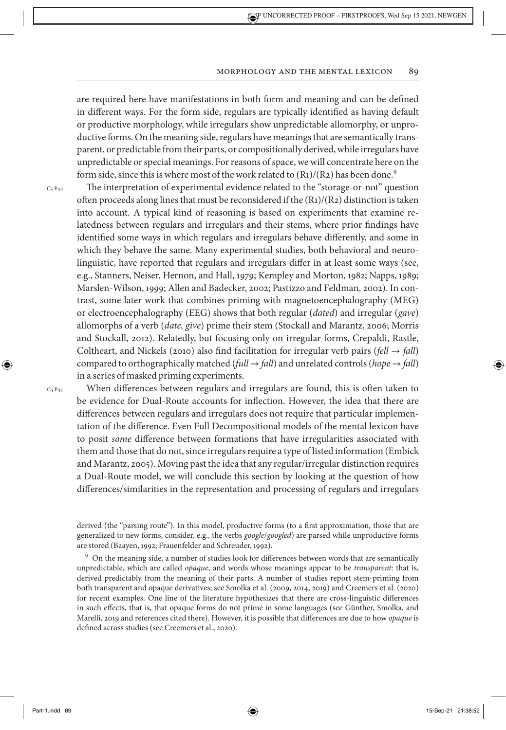are required here have manifestations in both form and meaning and can be defined in different ways. For the form side, regulars are typically identified as having default or productive morphology, while irregulars show unpredictable allomorphy, or unproductive forms. On the meaning side, regulars have meanings that are semantically transparent, or predictable from their parts, or compositionally derived, while irregulars have unpredictable or special meanings. For reasons of space, we will concentrate here on the form side, since this is where most of the work related to  $(R_1)/(R_2)$  has been done.<sup>9</sup>

C5.P44

The interpretation of experimental evidence related to the "storage-or-not" question often proceeds along lines that must be reconsidered if the (R1)/(R2) distinction is taken into account. A typical kind of reasoning is based on experiments that examine relatedness between regulars and irregulars and their stems, where prior findings have identified some ways in which regulars and irregulars behave differently, and some in which they behave the same. Many experimental studies, both behavioral and neurolinguistic, have reported that regulars and irregulars differ in at least some ways (see, e.g., Stanners, Neiser, Hernon, and Hall, 1979; Kempley and Morton, 1982; Napps, 1989; Marslen-Wilson, 1999; Allen and Badecker, 2002; Pastizzo and Feldman, 2002). In contrast, some later work that combines priming with magnetoencephalography (MEG) or electroencephalography (EEG) shows that both regular (*dated*) and irregular (*gave*) allomorphs of a verb (*date, give*) prime their stem (Stockall and Marantz, 2006; Morris and Stockall, 2012). Relatedly, but focusing only on irregular forms, Crepaldi, Rastle, Coltheart, and Nickels (2010) also find facilitation for irregular verb pairs ( $\text{fell} \rightarrow \text{fall}$ ) compared to orthographically matched ( $full \rightarrow fall$ ) and unrelated controls ( $ho \neq fall$ ) in a series of masked priming experiments.

 $Cs.P45$ 

⊕

When differences between regulars and irregulars are found, this is often taken to be evidence for Dual-Route accounts for inflection. However, the idea that there are differences between regulars and irregulars does not require that particular implementation of the difference. Even Full Decompositional models of the mental lexicon have to posit *some* difference between formations that have irregularities associated with them and those that do not, since irregulars require a type of listed information (Embick and Marantz, 2005). Moving past the idea that any regular/irregular distinction requires a Dual-Route model, we will conclude this section by looking at the question of how differences/similarities in the representation and processing of regulars and irregulars

derived (the "parsing route"). In this model, productive forms (to a first approximation, those that are generalized to new forms, consider, e.g., the verbs *google*/*googled*) are parsed while unproductive forms are stored (Baayen, 1992; Frauenfelder and Schreuder, 1992).

<sup>9</sup> On the meaning side, a number of studies look for differences between words that are semantically unpredictable, which are called *opaque*, and words whose meanings appear to be *transparent*: that is, derived predictably from the meaning of their parts. A number of studies report stem-priming from both transparent and opaque derivatives; see Smolka et al. (2009, 2014, 2019) and Creemers et al. (2020) for recent examples. One line of the literature hypothesizes that there are cross-linguistic differences in such effects, that is, that opaque forms do not prime in some languages (see Günther, Smolka, and Marelli, 2019 and references cited there). However, it is possible that differences are due to how *opaque* is defined across studies (see Creemers et al., 2020).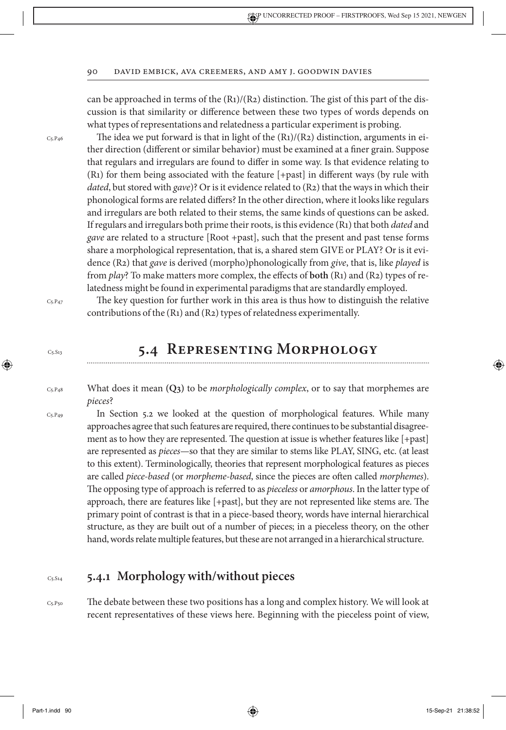can be approached in terms of the  $(R_1)/(R_2)$  distinction. The gist of this part of the discussion is that similarity or difference between these two types of words depends on what types of representations and relatedness a particular experiment is probing.

The idea we put forward is that in light of the  $(R_1)/(R_2)$  distinction, arguments in either direction (different or similar behavior) must be examined at a finer grain. Suppose that regulars and irregulars are found to differ in some way. Is that evidence relating to (R1) for them being associated with the feature [+past] in different ways (by rule with *dated*, but stored with *gave*)? Or is it evidence related to (R2) that the ways in which their phonological forms are related differs? In the other direction, where it looks like regulars and irregulars are both related to their stems, the same kinds of questions can be asked. If regulars and irregulars both prime their roots, is this evidence (R1) that both *dated* and *gave* are related to a structure [Root +past], such that the present and past tense forms share a morphological representation, that is, a shared stem GIVE or PLAY? Or is it evidence (R2) that *gave* is derived (morpho)phonologically from *give*, that is, like *played* is from *play*? To make matters more complex, the effects of **both** (R1) and (R2) types of relatedness might be found in experimental paradigms that are standardly employed.

 $C5.P47$ 

C5.P46

 $Cs.S13$ 

↔

The key question for further work in this area is thus how to distinguish the relative contributions of the (R1) and (R2) types of relatedness experimentally.

## **5.4 Representing Morphology**

- What does it mean **(Q3)** to be *morphologically complex*, or to say that morphemes are *pieces*?  $C_5.P_48$
- In Section 5.2 we looked at the question of morphological features. While many approaches agree that such features are required, there continues to be substantial disagreement as to how they are represented. The question at issue is whether features like [+past] are represented as *pieces*—so that they are similar to stems like PLAY, SING, etc. (at least to this extent). Terminologically, theories that represent morphological features as pieces are called *piece-based* (or *morpheme-based*, since the pieces are often called *morphemes*). The opposing type of approach is referred to as *pieceless* or *amorphous*. In the latter type of approach, there are features like [+past], but they are not represented like stems are. The primary point of contrast is that in a piece-based theory, words have internal hierarchical structure, as they are built out of a number of pieces; in a pieceless theory, on the other hand, words relate multiple features, but these are not arranged in a hierarchical structure.  $C$ 5. $P<sub>49</sub>$

#### **5.4.1 Morphology with/without pieces** C5.S14

C5.P50

The debate between these two positions has a long and complex history. We will look at recent representatives of these views here. Beginning with the pieceless point of view,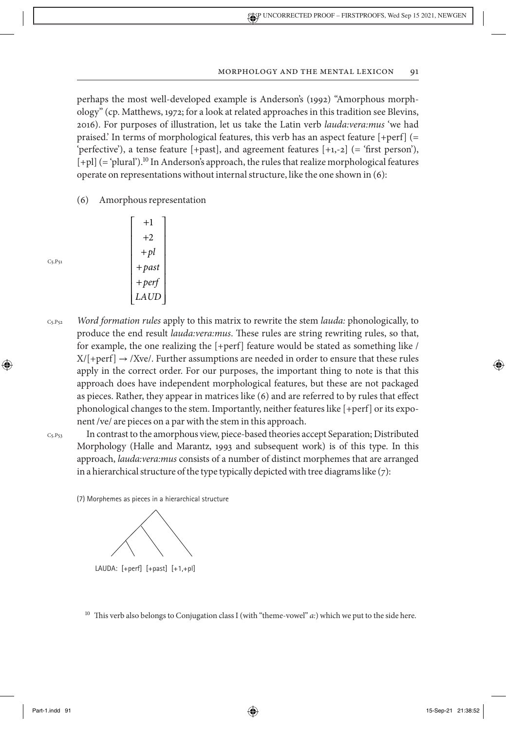perhaps the most well-developed example is Anderson's (1992) "Amorphous morphology" (cp. Matthews, 1972; for a look at related approaches in this tradition see Blevins, 2016). For purposes of illustration, let us take the Latin verb *lauda:vera:mus* 'we had praised.' In terms of morphological features, this verb has an aspect feature [+perf] (= 'perfective'), a tense feature [+past], and agreement features [+1,-2] (= 'first person'), [+pl] (= 'plural').<sup>10</sup> In Anderson's approach, the rules that realize morphological features operate on representations without internal structure, like the one shown in (6):

(6) Amorphous representation

I

I I I I I Į I L

 $\lfloor$ 

+ + + + +

1 2 *pl past perf LAUD*  $\overline{\phantom{a}}$ 

 $\overline{\phantom{a}}$  $\overline{\phantom{a}}$  $\overline{\phantom{a}}$  $\overline{\phantom{a}}$  $\overline{\phantom{a}}$  $\overline{\phantom{a}}$  $\overline{\phantom{a}}$  $\overline{\phantom{a}}$ 

 $\overline{\phantom{a}}$ 

 $C5.P51$ 

- *Word formation rules* apply to this matrix to rewrite the stem *lauda:* phonologically, to produce the end result *lauda:vera:mus*. These rules are string rewriting rules, so that, for example, the one realizing the [+perf] feature would be stated as something like /  $X/$ [+perf]  $\rightarrow$  /Xve/. Further assumptions are needed in order to ensure that these rules apply in the correct order. For our purposes, the important thing to note is that this approach does have independent morphological features, but these are not packaged as pieces. Rather, they appear in matrices like (6) and are referred to by rules that effect phonological changes to the stem. Importantly, neither features like [+perf] or its exponent /ve/ are pieces on a par with the stem in this approach. C5.P52
- $C5.$ P $53$

⊕

In contrast to the amorphous view, piece-based theories accept Separation; Distributed Morphology (Halle and Marantz, 1993 and subsequent work) is of this type. In this approach, *lauda:vera:mus* consists of a number of distinct morphemes that are arranged in a hierarchical structure of the type typically depicted with tree diagrams like  $(7)$ :

(7) Morphemes as pieces in a hierarchical structure



LAUDA: [+perf] [+past] [+1,+pl]

<sup>10</sup> This verb also belongs to Conjugation class I (with "theme-vowel" *a*:) which we put to the side here.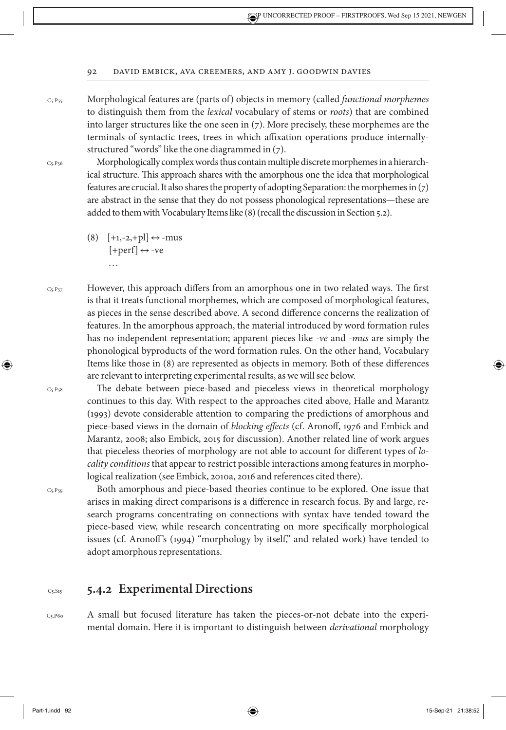C5.P55

Morphological features are (parts of) objects in memory (called *functional morphemes* to distinguish them from the *lexical* vocabulary of stems or *roots*) that are combined into larger structures like the one seen in (7). More precisely, these morphemes are the terminals of syntactic trees, trees in which affixation operations produce internallystructured "words" like the one diagrammed in (7).

 $Cs.P56$ 

 $Cs.P58$ 

⊕

 $C<sub>5</sub>P<sub>59</sub>$ 

Morphologically complex words thus contain multiple discrete morphemes in a hierarchical structure. This approach shares with the amorphous one the idea that morphological features are crucial. It also shares the property of adopting Separation: the morphemes in (7) are abstract in the sense that they do not possess phonological representations—these are added to them with Vocabulary Items like (8) (recall the discussion in Section 5.2).

- $(8)$  [+1,-2,+pl]  $\leftrightarrow$  -mus  $[+perf] \leftrightarrow -ve$ . . .
- However, this approach differs from an amorphous one in two related ways. The first is that it treats functional morphemes, which are composed of morphological features, as pieces in the sense described above. A second difference concerns the realization of features. In the amorphous approach, the material introduced by word formation rules has no independent representation; apparent pieces like *-ve* and *-mus* are simply the phonological byproducts of the word formation rules. On the other hand, Vocabulary Items like those in (8) are represented as objects in memory. Both of these differences are relevant to interpreting experimental results, as we will see below.  $C_5.P_57$

The debate between piece-based and pieceless views in theoretical morphology continues to this day. With respect to the approaches cited above, Halle and Marantz (1993) devote considerable attention to comparing the predictions of amorphous and piece-based views in the domain of *blocking effects* (cf. Aronoff, 1976 and Embick and Marantz, 2008; also Embick, 2015 for discussion). Another related line of work argues that pieceless theories of morphology are not able to account for different types of *locality conditions* that appear to restrict possible interactions among features in morphological realization (see Embick, 2010a, 2016 and references cited there).

Both amorphous and piece-based theories continue to be explored. One issue that arises in making direct comparisons is a difference in research focus. By and large, research programs concentrating on connections with syntax have tended toward the piece-based view, while research concentrating on more specifically morphological issues (cf. Aronoff's (1994) "morphology by itself," and related work) have tended to adopt amorphous representations.

#### **5.4.2 Experimental Directions** C5.S15

A small but focused literature has taken the pieces-or-not debate into the experimental domain. Here it is important to distinguish between *derivational* morphology C5.P60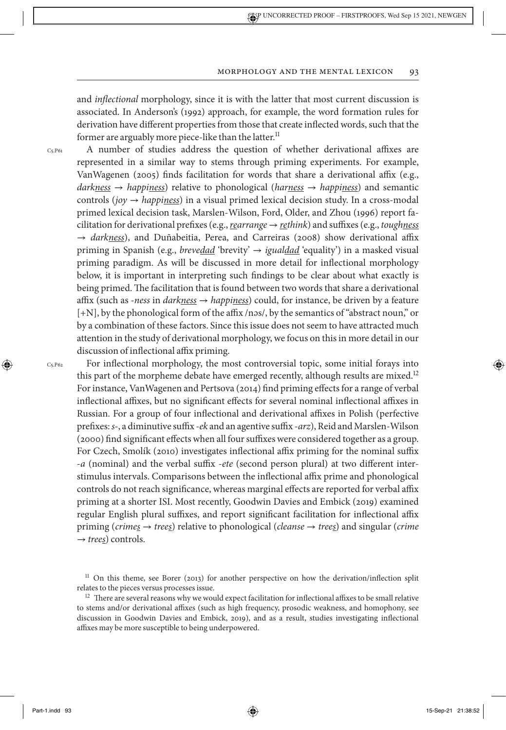and *inflectional* morphology, since it is with the latter that most current discussion is associated. In Anderson's (1992) approach, for example, the word formation rules for derivation have different properties from those that create inflected words, such that the former are arguably more piece-like than the latter.<sup>11</sup>

C5.P61

A number of studies address the question of whether derivational affixes are represented in a similar way to stems through priming experiments. For example, VanWagenen (2005) finds facilitation for words that share a derivational affix (e.g., *darkness* → *happiness*) relative to phonological (*harness* → *happiness*) and semantic controls (*joy* → *happiness*) in a visual primed lexical decision study. In a cross-modal primed lexical decision task, Marslen-Wilson, Ford, Older, and Zhou (1996) report facilitation for derivational prefixes (e.g., *rearrange* → *rethink*) and suffixes (e.g., *toughness* → *darkness*), and Duñabeitia, Perea, and Carreiras (2008) show derivational affix priming in Spanish (e.g., *brevedad* 'brevity' → *igualdad* 'equality') in a masked visual priming paradigm. As will be discussed in more detail for inflectional morphology below, it is important in interpreting such findings to be clear about what exactly is being primed. The facilitation that is found between two words that share a derivational affix (such as *-ness* in *darkness* → *happiness*) could, for instance, be driven by a feature [+N], by the phonological form of the affix /nəs/, by the semantics of "abstract noun," or by a combination of these factors. Since this issue does not seem to have attracted much attention in the study of derivational morphology, we focus on this in more detail in our discussion of inflectional affix priming.

C5.P62

⊕

For inflectional morphology, the most controversial topic, some initial forays into this part of the morpheme debate have emerged recently, although results are mixed.<sup>12</sup> For instance, VanWagenen and Pertsova (2014) find priming effects for a range of verbal inflectional affixes, but no significant effects for several nominal inflectional affixes in Russian. For a group of four inflectional and derivational affixes in Polish (perfective prefixes: *s-*, a diminutive suffix *-ek* and an agentive suffix -*arz*), Reid and Marslen-Wilson (2000) find significant effects when all four suffixes were considered together as a group. For Czech, Smolík (2010) investigates inflectional affix priming for the nominal suffix -*a* (nominal) and the verbal suffix -*ete* (second person plural) at two different interstimulus intervals. Comparisons between the inflectional affix prime and phonological controls do not reach significance, whereas marginal effects are reported for verbal affix priming at a shorter ISI. Most recently, Goodwin Davies and Embick (2019) examined regular English plural suffixes, and report significant facilitation for inflectional affix priming (*crimes* → *trees*) relative to phonological (*cleanse* → *trees*) and singular (*crime*  $\rightarrow$  *trees*) controls.

<sup>&</sup>lt;sup>11</sup> On this theme, see Borer (2013) for another perspective on how the derivation/inflection split relates to the pieces versus processesissue.

 $12$  There are several reasons why we would expect facilitation for inflectional affixes to be small relative to stems and/or derivational affixes (such as high frequency, prosodic weakness, and homophony, see discussion in Goodwin Davies and Embick, 2019), and as a result, studies investigating inflectional affixes may be more susceptible to being underpowered.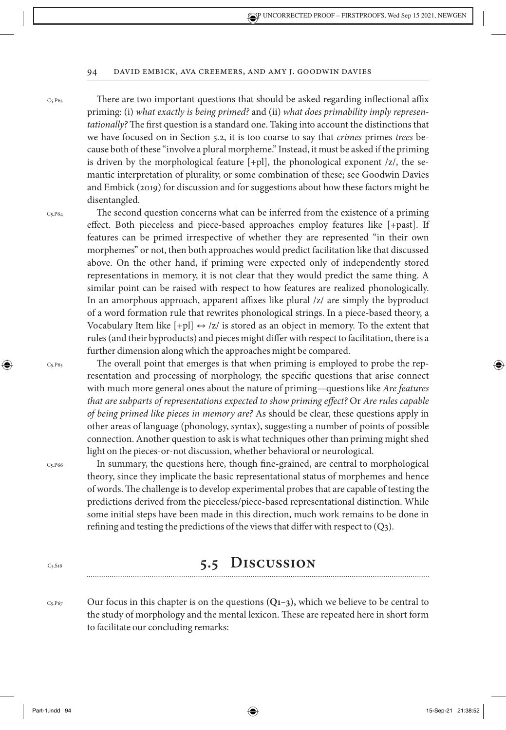$C$ 5. $P$ 63

There are two important questions that should be asked regarding inflectional affix priming: (i) *what exactly is being primed?* and (ii) *what does primability imply representationally?* The first question is a standard one. Taking into account the distinctions that we have focused on in Section 5.2, it is too coarse to say that *crimes* primes *trees* because both of these "involve a plural morpheme." Instead, it must be asked if the priming is driven by the morphological feature [+pl], the phonological exponent /z/, the semantic interpretation of plurality, or some combination of these; see Goodwin Davies and Embick (2019) for discussion and for suggestions about how these factors might be disentangled.

C5.P64

The second question concerns what can be inferred from the existence of a priming effect. Both pieceless and piece-based approaches employ features like [+past]. If features can be primed irrespective of whether they are represented "in their own morphemes" or not, then both approaches would predict facilitation like that discussed above. On the other hand, if priming were expected only of independently stored representations in memory, it is not clear that they would predict the same thing. A similar point can be raised with respect to how features are realized phonologically. In an amorphous approach, apparent affixes like plural /z/ are simply the byproduct of a word formation rule that rewrites phonological strings. In a piece-based theory, a Vocabulary Item like  $[+p] \leftrightarrow /z/$  is stored as an object in memory. To the extent that rules (and their byproducts) and pieces might differ with respect to facilitation, there is a further dimension along which the approaches might be compared.

The overall point that emerges is that when priming is employed to probe the representation and processing of morphology, the specific questions that arise connect with much more general ones about the nature of priming—questions like *Are features that are subparts of representations expected to show priming effect?* Or *Are rules capable of being primed like pieces in memory are?* As should be clear, these questions apply in other areas of language (phonology, syntax), suggesting a number of points of possible connection. Another question to ask is what techniques other than priming might shed light on the pieces-or-not discussion, whether behavioral or neurological.

C5.P66

C5.S16

C5.P65

⊕

In summary, the questions here, though fine-grained, are central to morphological theory, since they implicate the basic representational status of morphemes and hence of words. The challenge is to develop experimental probes that are capable of testing the predictions derived from the pieceless/piece-based representational distinction. While some initial steps have been made in this direction, much work remains to be done in refining and testing the predictions of the views that differ with respect to (Q3).

## **5.5 Discussion**

Our focus in this chapter is on the questions **(Q1–3),** which we believe to be central to the study of morphology and the mental lexicon. These are repeated here in short form to facilitate our concluding remarks:  $C$ 5. $P$ 67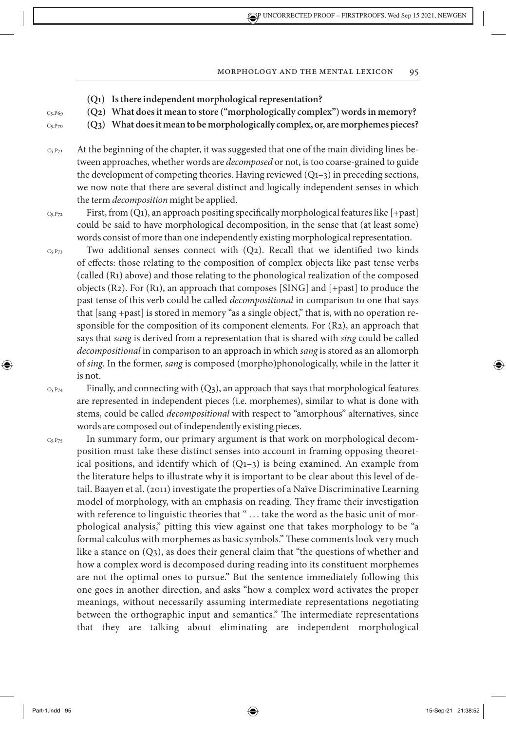- **(Q1) Is there independent morphological representation?**
- **(Q2) What does it mean to store ("morphologically complex") words in memory?**
- **(Q3) What does it mean to be morphologically complex, or, are morphemes pieces?**

At the beginning of the chapter, it was suggested that one of the main dividing lines between approaches, whether words are *decomposed* or not, is too coarse-grained to guide the development of competing theories. Having reviewed  $(Q_{1-3})$  in preceding sections, we now note that there are several distinct and logically independent senses in which the term *decomposition* might be applied. C5.P71

- First, from (Q1), an approach positing specifically morphological features like [+past] could be said to have morphological decomposition, in the sense that (at least some) words consist of more than one independently existing morphological representation. C5.P72
- Two additional senses connect with (Q2). Recall that we identified two kinds of effects: those relating to the composition of complex objects like past tense verbs (called (R1) above) and those relating to the phonological realization of the composed objects (R2). For (R1), an approach that composes [SING] and [+past] to produce the past tense of this verb could be called *decompositional* in comparison to one that says that [sang +past] is stored in memory "as a single object," that is, with no operation responsible for the composition of its component elements. For (R2), an approach that says that *sang* is derived from a representation that is shared with *sing* could be called *decompositional* in comparison to an approach in which *sang* is stored as an allomorph of *sing*. In the former, *sang* is composed (morpho)phonologically, while in the latter it is not. C5.P73

Finally, and connecting with  $(Q_3)$ , an approach that says that morphological features are represented in independent pieces (i.e. morphemes), similar to what is done with stems, could be called *decompositional* with respect to "amorphous" alternatives, since words are composed out of independently existing pieces.  $C_5.P74$ 

In summary form, our primary argument is that work on morphological decomposition must take these distinct senses into account in framing opposing theoretical positions, and identify which of  $(Q_{1-3})$  is being examined. An example from the literature helps to illustrate why it is important to be clear about this level of detail. Baayen et al. (2011) investigate the properties of a Naïve Discriminative Learning model of morphology, with an emphasis on reading. They frame their investigation with reference to linguistic theories that " ... take the word as the basic unit of morphological analysis," pitting this view against one that takes morphology to be "a formal calculus with morphemes as basic symbols." These comments look very much like a stance on (Q3), as does their general claim that "the questions of whether and how a complex word is decomposed during reading into its constituent morphemes are not the optimal ones to pursue." But the sentence immediately following this one goes in another direction, and asks "how a complex word activates the proper meanings, without necessarily assuming intermediate representations negotiating between the orthographic input and semantics." The intermediate representations that they are talking about eliminating are independent morphological C5.P75

C5.P69  $Cs.P70$ 

⊕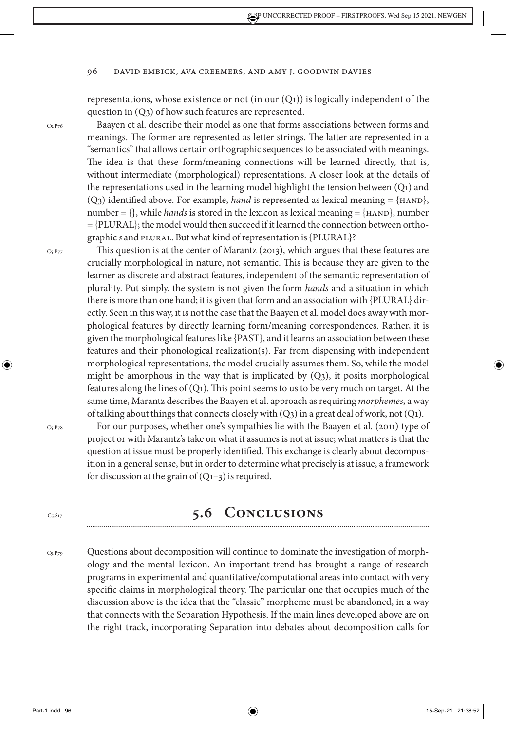representations, whose existence or not (in our  $(Q_1)$ ) is logically independent of the question in (Q3) of how such features are represented.

Baayen et al. describe their model as one that forms associations between forms and meanings. The former are represented as letter strings. The latter are represented in a "semantics" that allows certain orthographic sequences to be associated with meanings. The idea is that these form/meaning connections will be learned directly, that is, without intermediate (morphological) representations. A closer look at the details of the representations used in the learning model highlight the tension between  $(Q_1)$  and (Q<sub>3</sub>) identified above. For example, *hand* is represented as lexical meaning =  $\{HAND\}$ , number  $= \{\}$ , while *hands* is stored in the lexicon as lexical meaning  $= \{HAND\}$ , number = {PLURAL}; the model would then succeed if it learned the connection between orthographic *s* and PLURAL. But what kind of representation is {PLURAL}?

This question is at the center of Marantz (2013), which argues that these features are crucially morphological in nature, not semantic. This is because they are given to the learner as discrete and abstract features, independent of the semantic representation of plurality. Put simply, the system is not given the form *hands* and a situation in which there is more than one hand; it is given that form and an association with {PLURAL} directly. Seen in this way, it is not the case that the Baayen et al. model does away with morphological features by directly learning form/meaning correspondences. Rather, it is given the morphological features like {PAST}, and it learns an association between these features and their phonological realization(s). Far from dispensing with independent morphological representations, the model crucially assumes them. So, while the model might be amorphous in the way that is implicated by  $(Q_3)$ , it posits morphological features along the lines of  $(Q_1)$ . This point seems to us to be very much on target. At the same time, Marantz describes the Baayen et al. approach as requiring *morphemes*, a way of talking about things that connects closely with  $(Q_3)$  in a great deal of work, not  $(Q_1)$ .

 $C<sub>5</sub>.P<sub>78</sub>$ 

⊕

 $C_{5.}S_{17}$ 

 $C_5$  P<sub>76</sub>

C<sub>5</sub>.P<sub>77</sub>

For our purposes, whether one's sympathies lie with the Baayen et al. (2011) type of project or with Marantz's take on what it assumes is not at issue; what matters is that the question at issue must be properly identified. This exchange is clearly about decomposition in a general sense, but in order to determine what precisely is at issue, a framework for discussion at the grain of  $(Q_{1-3})$  is required.

## **5.6 Conclusions**

Questions about decomposition will continue to dominate the investigation of morphology and the mental lexicon. An important trend has brought a range of research programs in experimental and quantitative/computational areas into contact with very specific claims in morphological theory. The particular one that occupies much of the discussion above is the idea that the "classic" morpheme must be abandoned, in a way that connects with the Separation Hypothesis. If the main lines developed above are on the right track, incorporating Separation into debates about decomposition calls for  $C<sub>5</sub> P<sub>79</sub>$